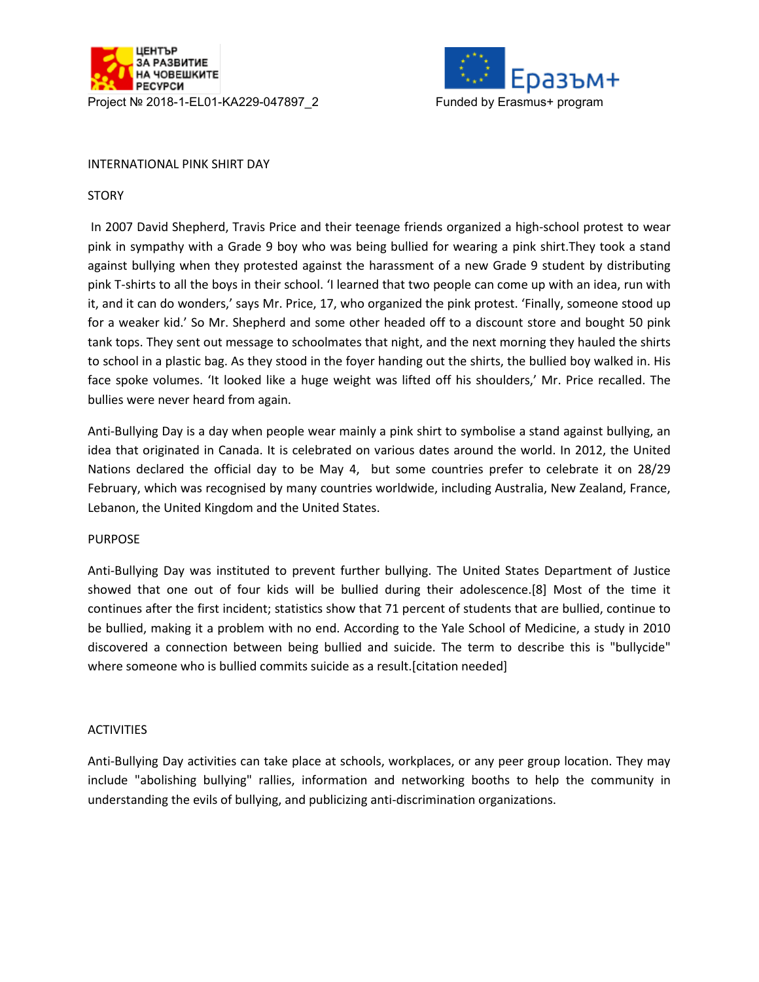



## INTERNATIONAL PINK SHIRT DAY

## **STORY**

In 2007 David Shepherd, Travis Price and their teenage friends organized a high-school protest to wear pink in sympathy with a Grade 9 boy who was being bullied for wearing a pink shirt.They took a stand against bullying when they protested against the harassment of a new Grade 9 student by distributing pink T-shirts to all the boys in their school. 'I learned that two people can come up with an idea, run with it, and it can do wonders,' says Mr. Price, 17, who organized the pink protest. 'Finally, someone stood up for a weaker kid.' So Mr. Shepherd and some other headed off to a discount store and bought 50 pink tank tops. They sent out message to schoolmates that night, and the next morning they hauled the shirts to school in a plastic bag. As they stood in the foyer handing out the shirts, the bullied boy walked in. His face spoke volumes. 'It looked like a huge weight was lifted off his shoulders,' Mr. Price recalled. The bullies were never heard from again.

Anti-Bullying Day is a day when people wear mainly a pink shirt to symbolise a stand against bullying, an idea that originated in Canada. It is celebrated on various dates around the world. In 2012, the United Nations declared the official day to be May 4, but some countries prefer to celebrate it on 28/29 February, which was recognised by many countries worldwide, including Australia, New Zealand, France, Lebanon, the United Kingdom and the United States.

## PURPOSE

Anti-Bullying Day was instituted to prevent further bullying. The United States Department of Justice showed that one out of four kids will be bullied during their adolescence.[8] Most of the time it continues after the first incident; statistics show that 71 percent of students that are bullied, continue to be bullied, making it a problem with no end. According to the Yale School of Medicine, a study in 2010 discovered a connection between being bullied and suicide. The term to describe this is "bullycide" where someone who is bullied commits suicide as a result.[citation needed]

## **ACTIVITIES**

Anti-Bullying Day activities can take place at schools, workplaces, or any peer group location. They may include "abolishing bullying" rallies, information and networking booths to help the community in understanding the evils of bullying, and publicizing anti-discrimination organizations.